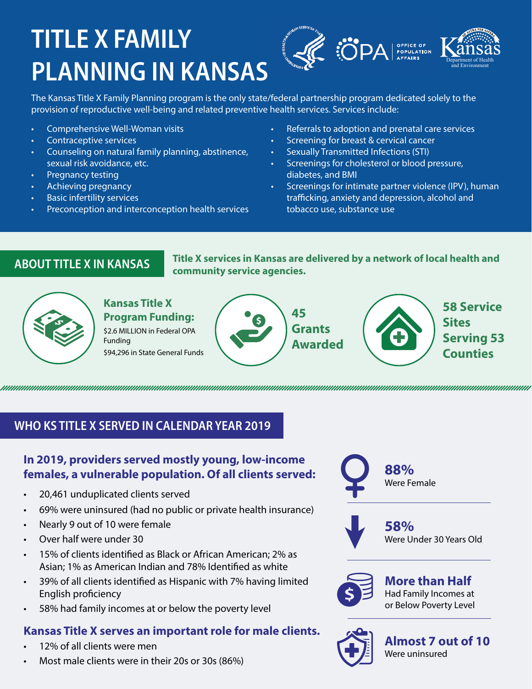# **TITLE X FAMILY PLANNING IN KANSAS**



The Kansas Title X Family Planning program is the only state/federal partnership program dedicated solely to the provision of reproductive well-being and related preventive health services. Services include:

- Comprehensive Well-Woman visits
- Contraceptive services
- Counseling on natural family planning, abstinence, s exual risk avoidance, etc.
- Pregnancy testing
- A chieving pregnancy
- Basic infertility services
- Preconception and interconception health services
- Referrals to adoption and prenatal care services
- Screening for breast & cervical cancer
- Sexually Transmitted Infections (STI)
- Screenings for cholesterol or blood pressure, diabetes, and BMI
- Screenings for intimate partner violence (IPV), human trafficking, anxiety and depression, alcohol and tobacco use, substance use

ABOUT TITLE X IN KANSAS Title X services in Kansas are delivered by a network of local health and community service agencies.



## **Kansas Title X Program Funding:**

\$2.6 MILLION in Federal OPA **Funding** 

\$94,296 in State General Funds





**58 Service Sites Serving 53 Counties** 

### WHO KS TITLE X SERVED IN CALENDAR YEAR 2019

### In 2019, providers served mostly young, low-income females, a vulnerable population. Of all clients served:

- 20,461 unduplicated clients served
- 69% were uninsured (had no public or private health insurance)
- Nearly 9 out of 10 were female
- Over half were under 30
- 15% of clients identified as Black or African American; 2% as Asian: 1% as American Indian and 78% Identified as white
- 39% of all clients identified as Hispanic with 7% having limited English proficiency
- 58% had family incomes at or below the poverty level

### Kansas Title X serves an important role for male clients.

- 12% of all clients were men
- Most male clients were in their 20s or 30s (86%)



5 8 % Were Under 30 Years Old



More than Half Had Family Incomes at or Below Poverty Level



Almost 7 out of 10 Were uninsured